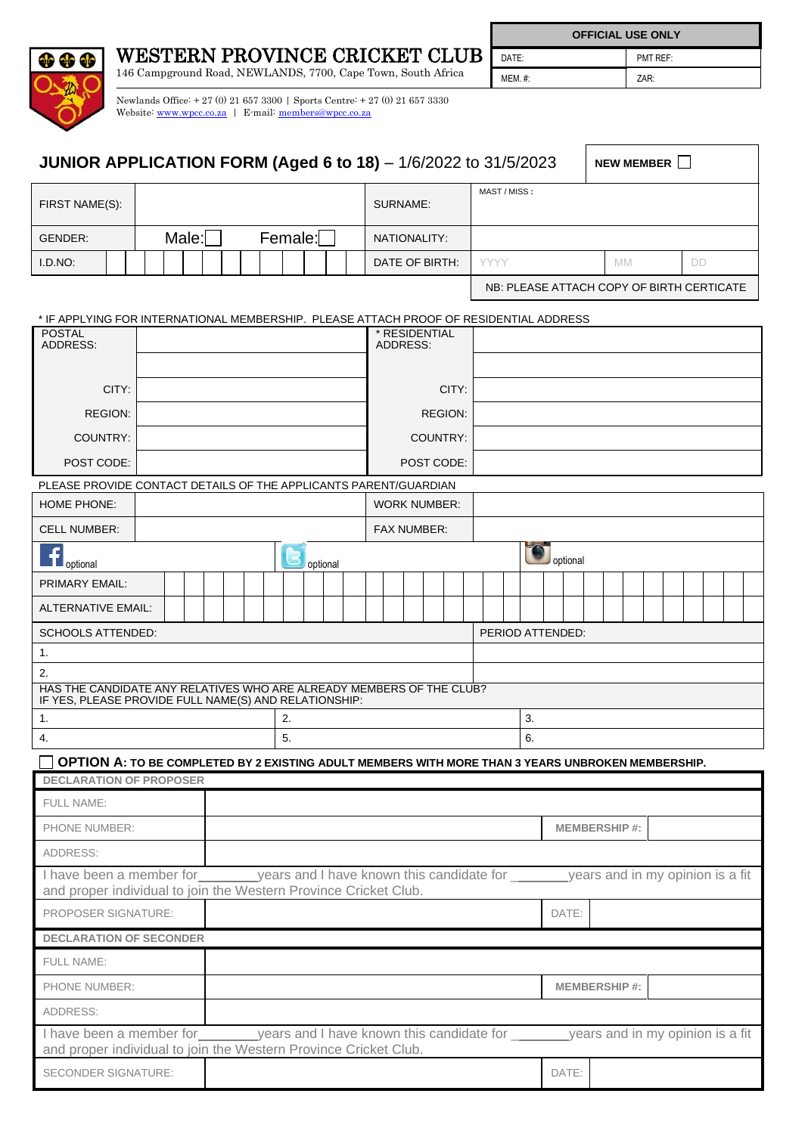

WESTERN PROVINCE CRICKET CLUB

146 Campground Road, NEWLANDS, 7700, Cape Town, South Africa

**OFFICIAL USE ONLY**

DATE: PMT REF: MEM. #: ZAR:

Newlands Office: + 27 (0) 21 657 3300 | Sports Centre: + 27 (0) 21 657 3330 Website[: www.wpcc.co.za](http://www.wpcc.co.za/) | E-mail: [members@wpcc.co.za](mailto:members@wpcc.co.za)

| <b>JUNIOR APPLICATION FORM (Aged 6 to 18)</b> - 1/6/2022 to 31/5/2023                                                                                                   |                           |                                           |              |          | NEW MEMBER          |  |  |    |  |  |  |  |
|-------------------------------------------------------------------------------------------------------------------------------------------------------------------------|---------------------------|-------------------------------------------|--------------|----------|---------------------|--|--|----|--|--|--|--|
| FIRST NAME(S):                                                                                                                                                          |                           | SURNAME:                                  | MAST / MISS: |          |                     |  |  |    |  |  |  |  |
| Male:<br>Female:<br>GENDER:                                                                                                                                             |                           | NATIONALITY:                              |              |          |                     |  |  |    |  |  |  |  |
| I.D.NO:                                                                                                                                                                 |                           | DATE OF BIRTH:                            | <b>YYYY</b>  |          | MM.                 |  |  | DD |  |  |  |  |
|                                                                                                                                                                         |                           | NB: PLEASE ATTACH COPY OF BIRTH CERTICATE |              |          |                     |  |  |    |  |  |  |  |
| * IF APPLYING FOR INTERNATIONAL MEMBERSHIP. PLEASE ATTACH PROOF OF RESIDENTIAL ADDRESS                                                                                  |                           |                                           |              |          |                     |  |  |    |  |  |  |  |
| <b>POSTAL</b><br>ADDRESS:                                                                                                                                               | * RESIDENTIAL<br>ADDRESS: |                                           |              |          |                     |  |  |    |  |  |  |  |
|                                                                                                                                                                         |                           |                                           |              |          |                     |  |  |    |  |  |  |  |
| CITY:                                                                                                                                                                   |                           |                                           |              |          |                     |  |  |    |  |  |  |  |
| <b>REGION:</b>                                                                                                                                                          |                           | <b>REGION:</b>                            |              |          |                     |  |  |    |  |  |  |  |
| COUNTRY:                                                                                                                                                                |                           | COUNTRY:                                  |              |          |                     |  |  |    |  |  |  |  |
| POST CODE:                                                                                                                                                              |                           | POST CODE:                                |              |          |                     |  |  |    |  |  |  |  |
| PLEASE PROVIDE CONTACT DETAILS OF THE APPLICANTS PARENT/GUARDIAN                                                                                                        |                           |                                           |              |          |                     |  |  |    |  |  |  |  |
| <b>HOME PHONE:</b>                                                                                                                                                      |                           | <b>WORK NUMBER:</b>                       |              |          |                     |  |  |    |  |  |  |  |
| <b>CELL NUMBER:</b>                                                                                                                                                     |                           |                                           |              |          |                     |  |  |    |  |  |  |  |
| optional                                                                                                                                                                | optional                  |                                           |              | optional |                     |  |  |    |  |  |  |  |
| PRIMARY EMAIL:                                                                                                                                                          |                           |                                           |              |          |                     |  |  |    |  |  |  |  |
| <b>ALTERNATIVE EMAIL:</b>                                                                                                                                               |                           |                                           |              |          |                     |  |  |    |  |  |  |  |
| <b>SCHOOLS ATTENDED:</b><br>PERIOD ATTENDED:                                                                                                                            |                           |                                           |              |          |                     |  |  |    |  |  |  |  |
| 1.                                                                                                                                                                      |                           |                                           |              |          |                     |  |  |    |  |  |  |  |
| 2.                                                                                                                                                                      |                           |                                           |              |          |                     |  |  |    |  |  |  |  |
| HAS THE CANDIDATE ANY RELATIVES WHO ARE ALREADY MEMBERS OF THE CLUB?<br>IF YES, PLEASE PROVIDE FULL NAME(S) AND RELATIONSHIP:                                           |                           |                                           |              |          |                     |  |  |    |  |  |  |  |
| 1.                                                                                                                                                                      | 2.                        |                                           |              |          | 3.                  |  |  |    |  |  |  |  |
| 4.<br>5.                                                                                                                                                                |                           |                                           |              | 6.       |                     |  |  |    |  |  |  |  |
| OPTION A: TO BE COMPLETED BY 2 EXISTING ADULT MEMBERS WITH MORE THAN 3 YEARS UNBROKEN MEMBERSHIP.<br><b>DECLARATION OF PROPOSER</b>                                     |                           |                                           |              |          |                     |  |  |    |  |  |  |  |
| FULL NAME:                                                                                                                                                              |                           |                                           |              |          |                     |  |  |    |  |  |  |  |
| PHONE NUMBER:                                                                                                                                                           |                           |                                           |              |          | <b>MEMBERSHIP#:</b> |  |  |    |  |  |  |  |
| ADDRESS:                                                                                                                                                                |                           |                                           |              |          |                     |  |  |    |  |  |  |  |
| I have been a member for years and I have known this candidate for years and in my opinion is a fit                                                                     |                           |                                           |              |          |                     |  |  |    |  |  |  |  |
| and proper individual to join the Western Province Cricket Club.<br>PROPOSER SIGNATURE:                                                                                 |                           |                                           |              | DATE:    |                     |  |  |    |  |  |  |  |
| <b>DECLARATION OF SECONDER</b>                                                                                                                                          |                           |                                           |              |          |                     |  |  |    |  |  |  |  |
| <b>FULL NAME:</b>                                                                                                                                                       |                           |                                           |              |          |                     |  |  |    |  |  |  |  |
| PHONE NUMBER:                                                                                                                                                           |                           |                                           |              |          | <b>MEMBERSHIP#:</b> |  |  |    |  |  |  |  |
| ADDRESS:                                                                                                                                                                |                           |                                           |              |          |                     |  |  |    |  |  |  |  |
| I have been a member for years and I have known this candidate for years and in my opinion is a fit<br>and proper individual to join the Western Province Cricket Club. |                           |                                           |              |          |                     |  |  |    |  |  |  |  |
| SECONDER SIGNATURE:                                                                                                                                                     |                           |                                           |              | DATE:    |                     |  |  |    |  |  |  |  |